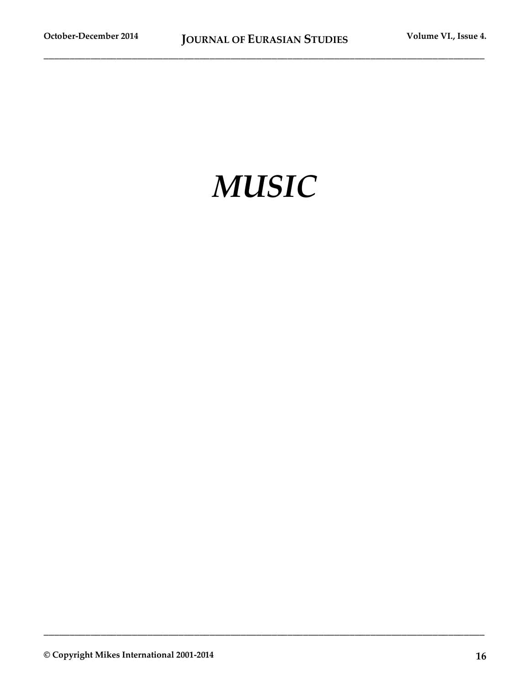# *MUSIC*

**\_\_\_\_\_\_\_\_\_\_\_\_\_\_\_\_\_\_\_\_\_\_\_\_\_\_\_\_\_\_\_\_\_\_\_\_\_\_\_\_\_\_\_\_\_\_\_\_\_\_\_\_\_\_\_\_\_\_\_\_\_\_\_\_\_\_\_\_\_\_\_\_\_\_\_\_\_\_\_\_\_\_\_\_\_**

**© Copyright Mikes International 2001-2014 16**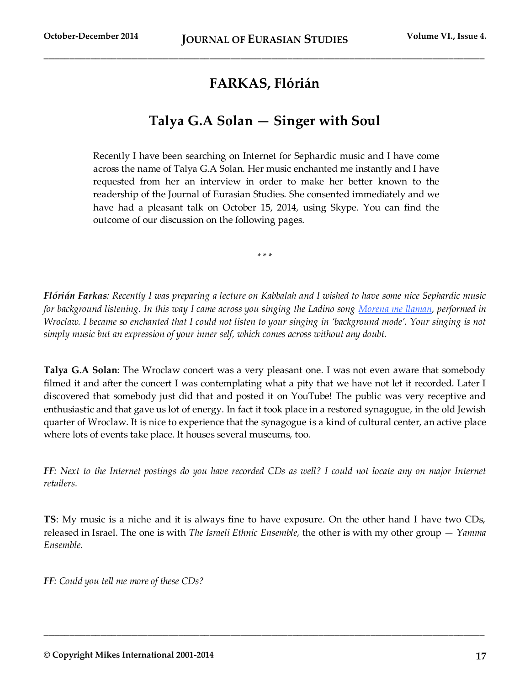## **FARKAS, Flórián**

### **Talya G.A Solan — Singer with Soul**

Recently I have been searching on Internet for Sephardic music and I have come across the name of Talya G.A Solan. Her music enchanted me instantly and I have requested from her an interview in order to make her better known to the readership of the Journal of Eurasian Studies. She consented immediately and we have had a pleasant talk on October 15, 2014, using Skype. You can find the outcome of our discussion on the following pages.

\* \* \*

*Flórián Farkas: Recently I was preparing a lecture on Kabbalah and I wished to have some nice Sephardic music for background listening. In this way I came across you singing the Ladino son[g](http://www.youtube.com/watch?v=uWgR3_0j198) Morena [me llaman,](http://www.youtube.com/watch?v=uWgR3_0j198) performed in Wroclaw. I became so enchanted that I could not listen to your singing in 'background mode'. Your singing is not simply music but an expression of your inner self, which comes across without any doubt.* 

**Talya G.A Solan**: The Wroclaw concert was a very pleasant one. I was not even aware that somebody filmed it and after the concert I was contemplating what a pity that we have not let it recorded. Later I discovered that somebody just did that and posted it on YouTube! The public was very receptive and enthusiastic and that gave us lot of energy. In fact it took place in a restored synagogue, in the old Jewish quarter of Wroclaw. It is nice to experience that the synagogue is a kind of cultural center, an active place where lots of events take place. It houses several museums, too.

*FF*: Next to the Internet postings do you have recorded CDs as well? I could not locate any on major Internet *retailers.* 

**TS**: My music is a niche and it is always fine to have exposure. On the other hand I have two CDs, released in Israel. The one is with *The Israeli Ethnic Ensemble,* the other is with my other group — *Yamma Ensemble*.

**\_\_\_\_\_\_\_\_\_\_\_\_\_\_\_\_\_\_\_\_\_\_\_\_\_\_\_\_\_\_\_\_\_\_\_\_\_\_\_\_\_\_\_\_\_\_\_\_\_\_\_\_\_\_\_\_\_\_\_\_\_\_\_\_\_\_\_\_\_\_\_\_\_\_\_\_\_\_\_\_\_\_\_\_\_**

*FF: Could you tell me more of these CDs?*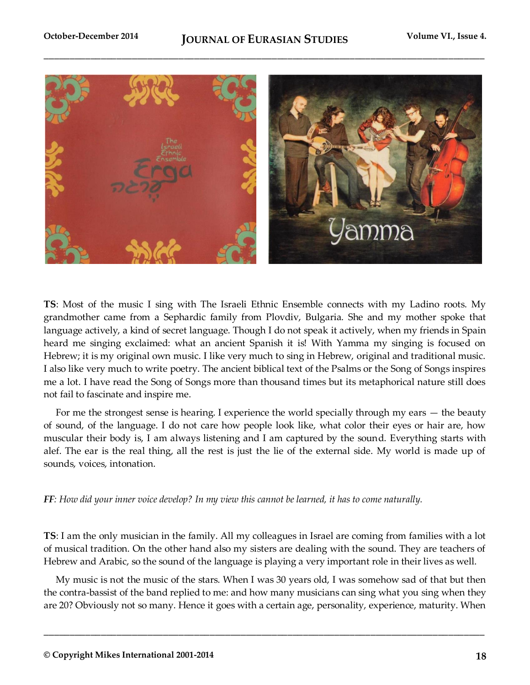

**TS**: Most of the music I sing with The Israeli Ethnic Ensemble connects with my Ladino roots. My grandmother came from a Sephardic family from Plovdiv, Bulgaria. She and my mother spoke that language actively, a kind of secret language. Though I do not speak it actively, when my friends in Spain heard me singing exclaimed: what an ancient Spanish it is! With Yamma my singing is focused on Hebrew; it is my original own music. I like very much to sing in Hebrew, original and traditional music. I also like very much to write poetry. The ancient biblical text of the Psalms or the Song of Songs inspires me a lot. I have read the Song of Songs more than thousand times but its metaphorical nature still does not fail to fascinate and inspire me.

For me the strongest sense is hearing. I experience the world specially through my ears — the beauty of sound, of the language. I do not care how people look like, what color their eyes or hair are, how muscular their body is, I am always listening and I am captured by the sound. Everything starts with alef. The ear is the real thing, all the rest is just the lie of the external side. My world is made up of sounds, voices, intonation.

*FF: How did your inner voice develop? In my view this cannot be learned, it has to come naturally.* 

**TS**: I am the only musician in the family. All my colleagues in Israel are coming from families with a lot of musical tradition. On the other hand also my sisters are dealing with the sound. They are teachers of Hebrew and Arabic, so the sound of the language is playing a very important role in their lives as well.

My music is not the music of the stars. When I was 30 years old, I was somehow sad of that but then the contra-bassist of the band replied to me: and how many musicians can sing what you sing when they are 20? Obviously not so many. Hence it goes with a certain age, personality, experience, maturity. When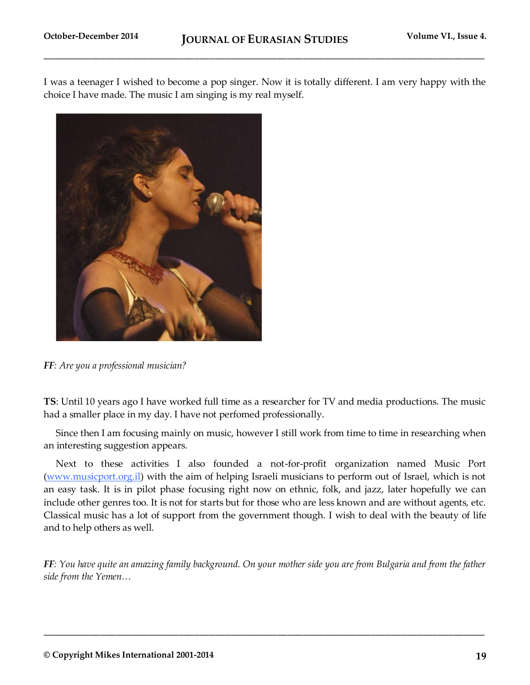I was a teenager I wished to become a pop singer. Now it is totally different. I am very happy with the choice I have made. The music I am singing is my real myself.



*FF: Are you a professional musician?* 

**TS**: Until 10 years ago I have worked full time as a researcher for TV and media productions. The music had a smaller place in my day. I have not perfomed professionally.

Since then I am focusing mainly on music, however I still work from time to time in researching when an interesting suggestion appears.

Next to these activities I also founded a not-for-profit organization named Music Port [\(www.musicport.org.il\)](http://www.musicport.org.il/) with the aim of helping Israeli musicians to perform out of Israel, which is not an easy task. It is in pilot phase focusing right now on ethnic, folk, and jazz, later hopefully we can include other genres too. It is not for starts but for those who are less known and are without agents, etc. Classical music has a lot of support from the government though. I wish to deal with the beauty of life and to help others as well.

*FF: You have quite an amazing family background. On your mother side you are from Bulgaria and from the father side from the Yemen…*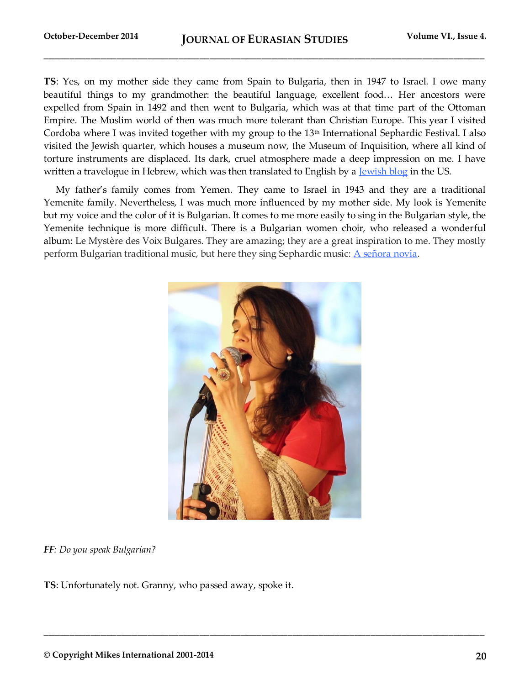**TS**: Yes, on my mother side they came from Spain to Bulgaria, then in 1947 to Israel. I owe many beautiful things to my grandmother: the beautiful language, excellent food… Her ancestors were expelled from Spain in 1492 and then went to Bulgaria, which was at that time part of the Ottoman Empire. The Muslim world of then was much more tolerant than Christian Europe. This year I visited Cordoba where I was invited together with my group to the 13<sup>th</sup> International Sephardic Festival. I also visited the Jewish quarter, which houses a museum now, the Museum of Inquisition, where all kind of torture instruments are displaced. Its dark, cruel atmosphere made a deep impression on me. I have written a travelogue in Hebrew, which was then translated to English by a [Jewish blog](http://www.myjewishlearning.com/blog/jewish-and/2014/08/26/1073/) in the US.

My father's family comes from Yemen. They came to Israel in 1943 and they are a traditional Yemenite family. Nevertheless, I was much more influenced by my mother side. My look is Yemenite but my voice and the color of it is Bulgarian. It comes to me more easily to sing in the Bulgarian style, the Yemenite technique is more difficult. There is a Bulgarian women choir, who released a wonderful album: Le Mystère des Voix Bulgares. They are amazing; they are a great inspiration to me. They mostly perform Bulgarian traditional music, but here they sing Sephardic music:  $\triangle$  señora novia[.](https://www.youtube.com/watch?v=fV_pnREQnwY)



**\_\_\_\_\_\_\_\_\_\_\_\_\_\_\_\_\_\_\_\_\_\_\_\_\_\_\_\_\_\_\_\_\_\_\_\_\_\_\_\_\_\_\_\_\_\_\_\_\_\_\_\_\_\_\_\_\_\_\_\_\_\_\_\_\_\_\_\_\_\_\_\_\_\_\_\_\_\_\_\_\_\_\_\_\_**

#### *FF: Do you speak Bulgarian?*

**TS**: Unfortunately not. Granny, who passed away, spoke it.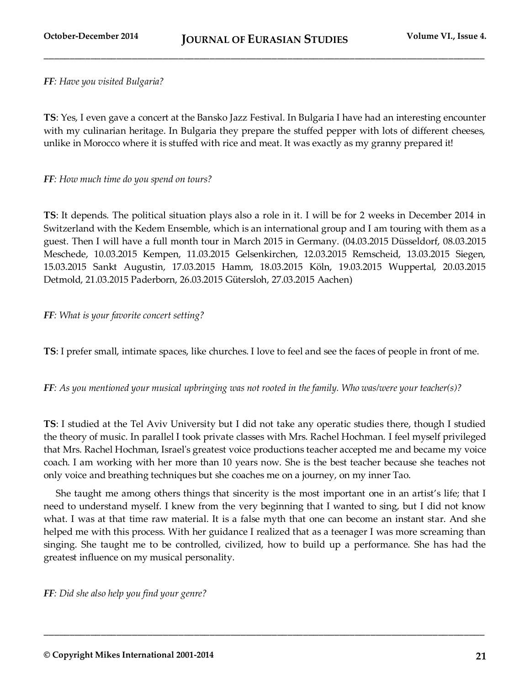**\_\_\_\_\_\_\_\_\_\_\_\_\_\_\_\_\_\_\_\_\_\_\_\_\_\_\_\_\_\_\_\_\_\_\_\_\_\_\_\_\_\_\_\_\_\_\_\_\_\_\_\_\_\_\_\_\_\_\_\_\_\_\_\_\_\_\_\_\_\_\_\_\_\_\_\_\_\_\_\_\_\_\_\_\_**

#### *FF: Have you visited Bulgaria?*

**TS**: Yes, I even gave a concert at the Bansko Jazz Festival. In Bulgaria I have had an interesting encounter with my culinarian heritage. In Bulgaria they prepare the stuffed pepper with lots of different cheeses, unlike in Morocco where it is stuffed with rice and meat. It was exactly as my granny prepared it!

#### *FF: How much time do you spend on tours?*

**TS**: It depends. The political situation plays also a role in it. I will be for 2 weeks in December 2014 in Switzerland with the Kedem Ensemble, which is an international group and I am touring with them as a guest. Then I will have a full month tour in March 2015 in Germany. (04.03.2015 Düsseldorf, 08.03.2015 Meschede, 10.03.2015 Kempen, 11.03.2015 Gelsenkirchen, 12.03.2015 Remscheid, 13.03.2015 Siegen, 15.03.2015 Sankt Augustin, 17.03.2015 Hamm, 18.03.2015 Köln, 19.03.2015 Wuppertal, 20.03.2015 Detmold, 21.03.2015 Paderborn, 26.03.2015 Gütersloh, 27.03.2015 Aachen)

#### *FF: What is your favorite concert setting?*

**TS**: I prefer small, intimate spaces, like churches. I love to feel and see the faces of people in front of me.

*FF: As you mentioned your musical upbringing was not rooted in the family. Who was/were your teacher(s)?* 

**TS**: I studied at the Tel Aviv University but I did not take any operatic studies there, though I studied the theory of music. In parallel I took private classes with Mrs. Rachel Hochman. I feel myself privileged that Mrs. Rachel Hochman, Israel's greatest voice productions teacher accepted me and became my voice coach. I am working with her more than 10 years now. She is the best teacher because she teaches not only voice and breathing techniques but she coaches me on a journey, on my inner Tao.

She taught me among others things that sincerity is the most important one in an artist's life; that I need to understand myself. I knew from the very beginning that I wanted to sing, but I did not know what. I was at that time raw material. It is a false myth that one can become an instant star. And she helped me with this process. With her guidance I realized that as a teenager I was more screaming than singing. She taught me to be controlled, civilized, how to build up a performance. She has had the greatest influence on my musical personality.

**\_\_\_\_\_\_\_\_\_\_\_\_\_\_\_\_\_\_\_\_\_\_\_\_\_\_\_\_\_\_\_\_\_\_\_\_\_\_\_\_\_\_\_\_\_\_\_\_\_\_\_\_\_\_\_\_\_\_\_\_\_\_\_\_\_\_\_\_\_\_\_\_\_\_\_\_\_\_\_\_\_\_\_\_\_**

*FF: Did she also help you find your genre?*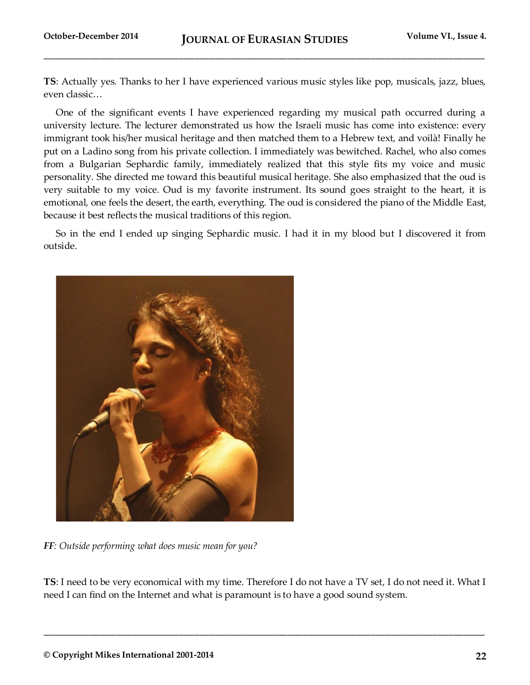**TS**: Actually yes. Thanks to her I have experienced various music styles like pop, musicals, jazz, blues, even classic…

One of the significant events I have experienced regarding my musical path occurred during a university lecture. The lecturer demonstrated us how the Israeli music has come into existence: every immigrant took his/her musical heritage and then matched them to a Hebrew text, and voilà! Finally he put on a Ladino song from his private collection. I immediately was bewitched. Rachel, who also comes from a Bulgarian Sephardic family, immediately realized that this style fits my voice and music personality. She directed me toward this beautiful musical heritage. She also emphasized that the oud is very suitable to my voice. Oud is my favorite instrument. Its sound goes straight to the heart, it is emotional, one feels the desert, the earth, everything. The oud is considered the piano of the Middle East, because it best reflects the musical traditions of this region.

So in the end I ended up singing Sephardic music. I had it in my blood but I discovered it from outside.



*FF: Outside performing what does music mean for you?* 

**TS**: I need to be very economical with my time. Therefore I do not have a TV set, I do not need it. What I need I can find on the Internet and what is paramount is to have a good sound system.